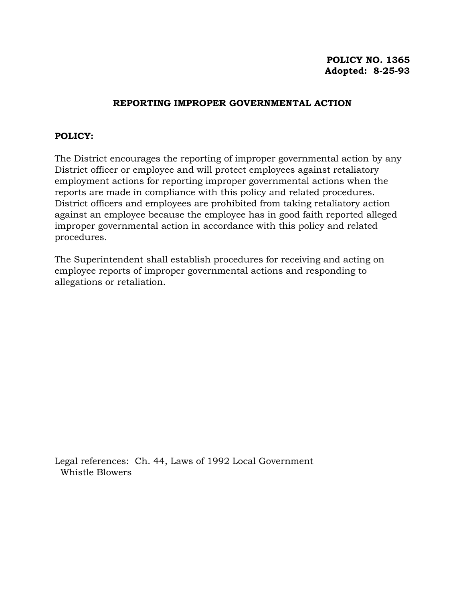# **POLICY NO. 1365 Adopted: 8-25-93**

# **REPORTING IMPROPER GOVERNMENTAL ACTION**

### **POLICY:**

The District encourages the reporting of improper governmental action by any District officer or employee and will protect employees against retaliatory employment actions for reporting improper governmental actions when the reports are made in compliance with this policy and related procedures. District officers and employees are prohibited from taking retaliatory action against an employee because the employee has in good faith reported alleged improper governmental action in accordance with this policy and related procedures.

The Superintendent shall establish procedures for receiving and acting on employee reports of improper governmental actions and responding to allegations or retaliation.

Legal references: Ch. 44, Laws of 1992 Local Government Whistle Blowers